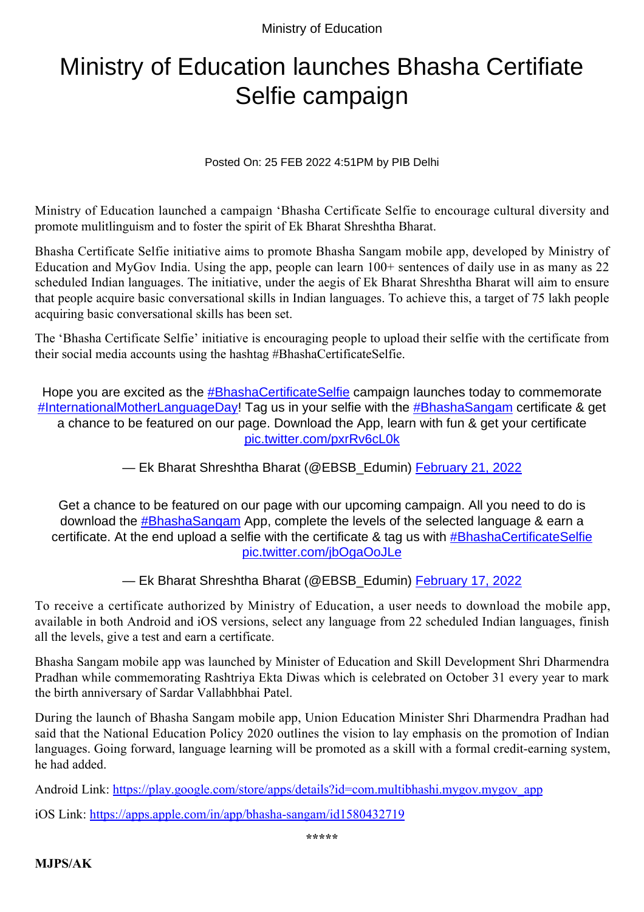Ministry of Education

## Ministry of Education launches Bhasha Certifiate Selfie campaign

Posted On: 25 FEB 2022 4:51PM by PIB Delhi

Ministry of Education launched a campaign 'Bhasha Certificate Selfie to encourage cultural diversity and promote mulitlinguism and to foster the spirit of Ek Bharat Shreshtha Bharat.

Bhasha Certificate Selfie initiative aims to promote Bhasha Sangam mobile app, developed by Ministry of Education and MyGov India. Using the app, people can learn 100+ sentences of daily use in as many as 22 scheduled Indian languages. The initiative, under the aegis of Ek Bharat Shreshtha Bharat will aim to ensure that people acquire basic conversational skills in Indian languages. To achieve this, a target of 75 lakh people acquiring basic conversational skills has been set.

The 'Bhasha Certificate Selfie' initiative is encouraging people to upload their selfie with the certificate from their social media accounts using the hashtag #BhashaCertificateSelfie.

Hope you are excited as the **[#BhashaCertificateSelfie](https://twitter.com/hashtag/BhashaCertificateSelfie?src=hash&ref_src=twsrc%5Etfw)** campaign launches today to commemorate [#InternationalMotherLanguageDay!](https://twitter.com/hashtag/InternationalMotherLanguageDay?src=hash&ref_src=twsrc%5Etfw) Tag us in your selfie with the [#BhashaSangam](https://twitter.com/hashtag/BhashaSangam?src=hash&ref_src=twsrc%5Etfw) certificate & get a chance to be featured on our page. Download the App, learn with fun & get your certificate [pic.twitter.com/pxrRv6cL0k](https://t.co/pxrRv6cL0k)

— Ek Bharat Shreshtha Bharat (@EBSB\_Edumin) [February 21, 2022](https://twitter.com/EBSB_Edumin/status/1495638769109811202?ref_src=twsrc%5Etfw)

Get a chance to be featured on our page with our upcoming campaign. All you need to do is download the **[#BhashaSangam](https://twitter.com/hashtag/BhashaSangam?src=hash&ref_src=twsrc%5Etfw)** App, complete the levels of the selected language & earn a certificate. At the end upload a selfie with the certificate & tag us with [#BhashaCertificateSelfie](https://twitter.com/hashtag/BhashaCertificateSelfie?src=hash&ref_src=twsrc%5Etfw) [pic.twitter.com/jbOgaOoJLe](https://t.co/jbOgaOoJLe)

— Ek Bharat Shreshtha Bharat (@EBSB\_Edumin) [February 17, 2022](https://twitter.com/EBSB_Edumin/status/1494202264830951426?ref_src=twsrc%5Etfw)

To receive a certificate authorized by Ministry of Education, a user needs to download the mobile app, available in both Android and iOS versions, select any language from 22 scheduled Indian languages, finish all the levels, give a test and earn a certificate.

Bhasha Sangam mobile app was launched by Minister of Education and Skill Development Shri Dharmendra Pradhan while commemorating Rashtriya Ekta Diwas which is celebrated on October 31 every year to mark the birth anniversary of Sardar Vallabhbhai Patel.

During the launch of Bhasha Sangam mobile app, Union Education Minister Shri Dharmendra Pradhan had said that the National Education Policy 2020 outlines the vision to lay emphasis on the promotion of Indian languages. Going forward, language learning will be promoted as a skill with a formal credit-earning system, he had added.

Android Link: [https://play.google.com/store/apps/details?id=com.multibhashi.mygov.mygov\\_app](https://play.google.com/store/apps/details?id=com.multibhashi.mygov.mygov_app)

iOS Link: <https://apps.apple.com/in/app/bhasha-sangam/id1580432719>